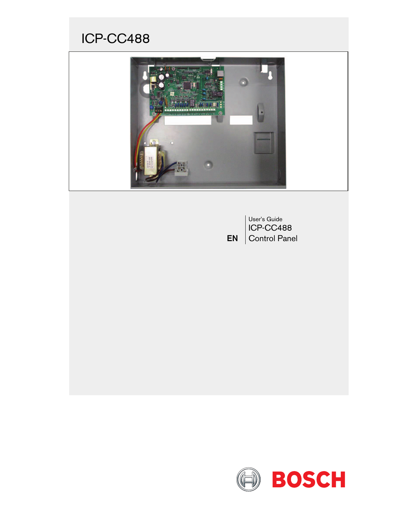# ICP-CC488



EN User's Guide ICP-CC488 Control Panel

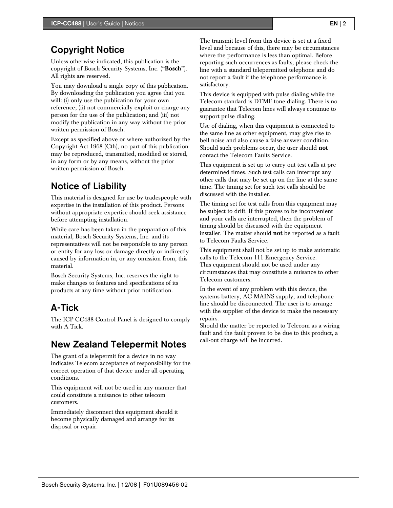## Copyright Notice

Unless otherwise indicated, this publication is the copyright of Bosch Security Systems, Inc. ("Bosch"). All rights are reserved.

You may download a single copy of this publication. By downloading the publication you agree that you will: (i) only use the publication for your own reference; (ii) not commercially exploit or charge any person for the use of the publication; and (iii) not modify the publication in any way without the prior written permission of Bosch.

Except as specified above or where authorized by the Copyright Act 1968 (Cth), no part of this publication may be reproduced, transmitted, modified or stored, in any form or by any means, without the prior written permission of Bosch.

## Notice of Liability

This material is designed for use by tradespeople with expertise in the installation of this product. Persons without appropriate expertise should seek assistance before attempting installation.

While care has been taken in the preparation of this material, Bosch Security Systems, Inc. and its representatives will not be responsible to any person or entity for any loss or damage directly or indirectly caused by information in, or any omission from, this material.

Bosch Security Systems, Inc. reserves the right to make changes to features and specifications of its products at any time without prior notification.

## A-Tick

The ICP-CC488 Control Panel is designed to comply with A-Tick.

## New Zealand Telepermit Notes

The grant of a telepermit for a device in no way indicates Telecom acceptance of responsibility for the correct operation of that device under all operating conditions.

This equipment will not be used in any manner that could constitute a nuisance to other telecom customers.

Immediately disconnect this equipment should it become physically damaged and arrange for its disposal or repair.

The transmit level from this device is set at a fixed level and because of this, there may be circumstances where the performance is less than optimal. Before reporting such occurrences as faults, please check the line with a standard telepermitted telephone and do not report a fault if the telephone performance is satisfactory.

This device is equipped with pulse dialing while the Telecom standard is DTMF tone dialing. There is no guarantee that Telecom lines will always continue to support pulse dialing.

Use of dialing, when this equipment is connected to the same line as other equipment, may give rise to bell noise and also cause a false answer condition. Should such problems occur, the user should not contact the Telecom Faults Service.

This equipment is set up to carry out test calls at predetermined times. Such test calls can interrupt any other calls that may be set up on the line at the same time. The timing set for such test calls should be discussed with the installer.

The timing set for test calls from this equipment may be subject to drift. If this proves to be inconvenient and your calls are interrupted, then the problem of timing should be discussed with the equipment installer. The matter should **not** be reported as a fault to Telecom Faults Service.

This equipment shall not be set up to make automatic calls to the Telecom 111 Emergency Service. This equipment should not be used under any circumstances that may constitute a nuisance to other Telecom customers.

In the event of any problem with this device, the systems battery, AC MAINS supply, and telephone line should be disconnected. The user is to arrange with the supplier of the device to make the necessary repairs.

Should the matter be reported to Telecom as a wiring fault and the fault proven to be due to this product, a call-out charge will be incurred.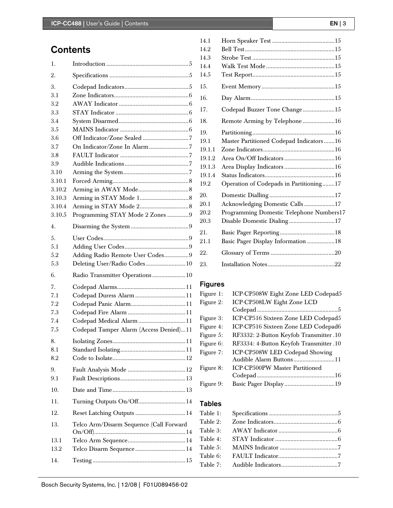## **Contents**

| 1.     |                                         |
|--------|-----------------------------------------|
| 2.     |                                         |
| 3.     |                                         |
| 3.1    |                                         |
| 3.2    |                                         |
| 3.3    |                                         |
| 3.4    |                                         |
| 3.5    |                                         |
| 3.6    |                                         |
| 3.7    |                                         |
| 3.8    |                                         |
| 3.9    |                                         |
| 3.10   |                                         |
| 3.10.1 |                                         |
| 3.10.2 |                                         |
| 3.10.3 |                                         |
| 3.10.4 |                                         |
| 3.10.5 | Programming STAY Mode 2 Zones 9         |
| 4.     |                                         |
| 5.     |                                         |
| 5.1    |                                         |
| 5.2    | Adding Radio Remote User Codes9         |
| 5.3    | Deleting User/Radio Codes 10            |
| 6.     | Radio Transmitter Operations10          |
| 7.     |                                         |
| 7.1    | Codepad Duress Alarm 11                 |
| 7.2    |                                         |
| 7.3    |                                         |
| 7.4    | Codepad Medical Alarm 11                |
| 7.5    | Codepad Tamper Alarm (Access Denied)11  |
| 8.     |                                         |
| 8.1    |                                         |
| 8.2    |                                         |
| 9.     |                                         |
| 9.1    |                                         |
| 10.    |                                         |
| 11.    | Turning Outputs On/Off14                |
| 12.    | Reset Latching Outputs  14              |
| 13.    | Telco Arm/Disarm Sequence (Call Forward |
| 13.1   |                                         |
| 13.2   |                                         |
| 14.    |                                         |
|        |                                         |

| 14.1   |                                           |
|--------|-------------------------------------------|
| 14.2   |                                           |
| 14.3   |                                           |
| 14.4   |                                           |
| 14.5   |                                           |
| 15.    |                                           |
| 16.    |                                           |
| 17.    | Codepad Buzzer Tone Change15              |
| 18.    | Remote Arming by Telephone16              |
| 19.    |                                           |
| 19.1   | Master Partitioned Codepad Indicators  16 |
| 19.1.1 |                                           |
| 19.1.2 |                                           |
| 19.1.3 |                                           |
| 19.1.4 |                                           |
| 19.2   | Operation of Codepads in Partitioning17   |
| 20.    |                                           |
| 20.1   | Acknowledging Domestic Calls17            |
| 20.2   | Programming Domestic Telephone Numbers17  |
| 20.3   | Disable Domestic Dialing17                |
| 21.    |                                           |
| 21.1   | Basic Pager Display Information 18        |
| 22.    |                                           |
| 23.    |                                           |

## Figures

| Figure 1: | ICP-CP508W Eight Zone LED Codepad5      |
|-----------|-----------------------------------------|
| Figure 2: | ICP-CP508LW Eight Zone LCD              |
|           |                                         |
| Figure 3: | ICP-CP516 Sixteen Zone LED Codepad5     |
| Figure 4: | ICP-CP516 Sixteen Zone LED Codepad6     |
| Figure 5: | RF3332: 2-Button Keyfob Transmitter .10 |
| Figure 6: | RF3334: 4-Button Keyfob Transmitter.10  |
| Figure 7: | ICP-CP508W LED Codepad Showing          |
|           | Audible Alarm Buttons11                 |
| Figure 8: | ICP-CP500PW Master Partitioned          |
|           |                                         |
| Figure 9: |                                         |
|           |                                         |

### Tables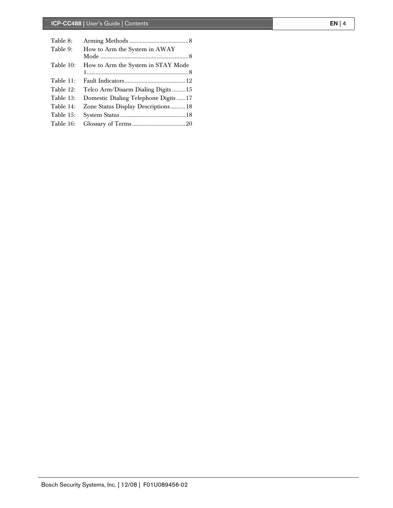| Table 8:  |                                     |  |
|-----------|-------------------------------------|--|
| Table 9:  | How to Arm the System in AWAY       |  |
|           |                                     |  |
| Table 10: | How to Arm the System in STAY Mode  |  |
|           |                                     |  |
| Table 11: |                                     |  |
| Table 12: | Telco Arm/Disarm Dialing Digits15   |  |
| Table 13: | Domestic Dialing Telephone Digits17 |  |
| Table 14: | Zone Status Display Descriptions18  |  |
| Table 15: |                                     |  |
| Table 16: |                                     |  |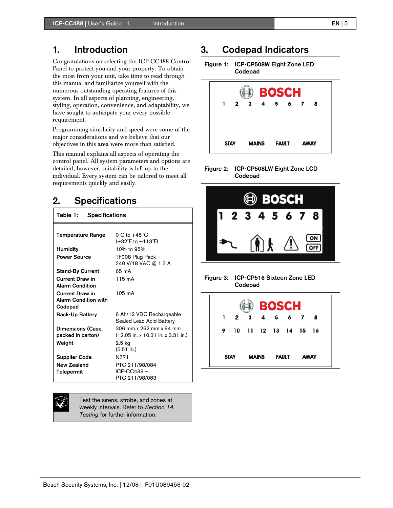## 1. Introduction

Congratulations on selecting the ICP-CC488 Control Panel to protect you and your property. To obtain the most from your unit, take time to read through this manual and familiarize yourself with the numerous outstanding operating features of this system. In all aspects of planning, engineering, styling, operation, convenience, and adaptability, we have sought to anticipate your every possible requirement.

Programming simplicity and speed were some of the major considerations and we believe that our objectives in this area were more than satisfied.

This manual explains all aspects of operating the control panel. All system parameters and options are detailed; however, suitability is left up to the individual. Every system can be tailored to meet all requirements quickly and easily.

## 2. Specifications

Table 1: Specifications

| Temperature Range                                                | $0^{\circ}$ C to $+45^{\circ}$ C                     |
|------------------------------------------------------------------|------------------------------------------------------|
|                                                                  | $(+32^{\circ}$ F to $+113^{\circ}$ F)                |
| Humidity                                                         | 10% to 95%                                           |
| <b>Power Source</b>                                              | TF008 Plug Pack -<br>240 V/18 VAC @ 1.3 A            |
| <b>Stand-By Current</b>                                          | 65 mA                                                |
| <b>Current Draw in</b><br><b>Alarm Condition</b>                 | 115 mA                                               |
| <b>Current Draw in</b><br><b>Alarm Condition with</b><br>Codepad | $105 \text{ mA}$                                     |
| <b>Back-Up Battery</b>                                           | 6 Ah/12 VDC Rechargeable<br>Sealed Lead Acid Battery |
| Dimensions (Case,                                                | 306 mm x 262 mm x 84 mm                              |
| packed in carton)                                                | (12.05 in. x 10.31 in. x 3.31 in.)                   |
| Weight                                                           | 2.5 kg<br>$(5.51$ lb.)                               |
| <b>Supplier Code</b>                                             | N771                                                 |
| <b>New Zealand</b><br>Telepermit                                 | PTC 211/98/084<br>ICP-CC488-<br>PTC 211/98/083       |

Test the sirens, strobe, and zones at weekly intervals. Refer to *Section 14. Testing* for further information.

## 3. Codepad Indicators

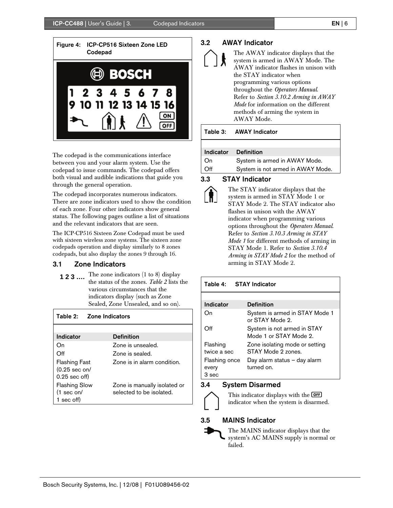

The codepad is the communications interface between you and your alarm system. Use the codepad to issue commands. The codepad offers both visual and audible indications that guide you through the general operation.

The codepad incorporates numerous indicators. There are zone indicators used to show the condition of each zone. Four other indicators show general status. The following pages outline a list of situations and the relevant indicators that are seen.

The ICP-CP516 Sixteen Zone Codepad must be used with sixteen wireless zone systems. The sixteen zone codepads operation and display similarly to 8 zones codepads, but also display the zones 9 through 16.

#### 3.1 Zone Indicators

**1 2 3 ....** The zone indicators (1 to 8) display the status of the zones. *Table 2* lists the various circumstances that the indicators display (such as Zone Sealed, Zone Unsealed, and so on).

| Table 2: Zone Indicators                                    |                                                          |
|-------------------------------------------------------------|----------------------------------------------------------|
|                                                             |                                                          |
| Indicator                                                   | <b>Definition</b>                                        |
| On                                                          | Zone is unsealed.                                        |
| Off                                                         | Zone is sealed.                                          |
| Flashing Fast<br>$(0.25 \text{ sec on/}$<br>$0.25$ sec off) | Zone is in alarm condition.                              |
| <b>Flashing Slow</b><br>$(1 \sec \theta)$<br>1 sec off)     | Zone is manually isolated or<br>selected to be isolated. |

#### 3.2 AWAY Indicator

| Å | The AWAY indicator displays that the<br>system is armed in AWAY Mode. The<br>AWAY indicator flashes in unison with<br>the STAY indicator when |
|---|-----------------------------------------------------------------------------------------------------------------------------------------------|
|   | programming various options                                                                                                                   |
|   | throughout the Operators Manual.                                                                                                              |
|   | Refer to Section 3.10.2 Arming in AWAY                                                                                                        |
|   | Mode for information on the different                                                                                                         |
|   | methods of arming the system in                                                                                                               |
|   | AWAY Mode.                                                                                                                                    |

#### Table 3: AWAY Indicator

#### Indicator Definition

| On  | System is armed in AWAY Mode.     |
|-----|-----------------------------------|
| Off | System is not armed in AWAY Mode. |

#### 3.3 STAY Indicator



The STAY indicator displays that the system is armed in STAY Mode 1 or STAY Mode 2. The STAY indicator also flashes in unison with the AWAY indicator when programming various options throughout the *Operators Manual*. Refer to *Section 3.10.3 Arming in STAY Mode 1* for different methods of arming in STAY Mode 1. Refer to *Section 3.10.4 Arming in STAY Mode 2* for the method of arming in STAY Mode 2.

#### Table 4: STAY Indicator Indicator Definition On System is armed in STAY Mode 1 or STAY Mode 2. Off System is not armed in STAY Mode 1 or STAY Mode 2. Flashing twice a sec Zone isolating mode or setting STAY Mode 2 zones. Flashing once every 3 sec Day alarm status – day alarm turned on.

#### 3.4 System Disarmed

This indicator displays with the **OFF** indicator when the system is disarmed.

#### 3.5 MAINS Indicator

The MAINS indicator displays that the system's AC MAINS supply is normal or failed.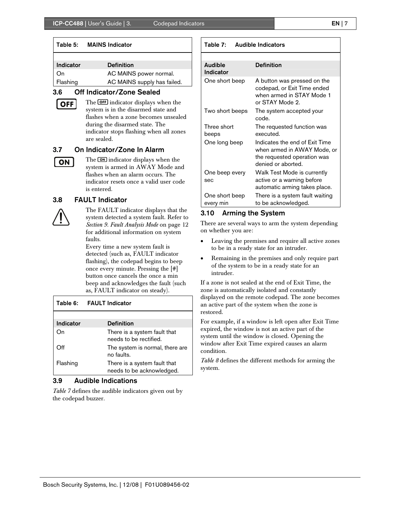|--|--|

| Table 5:  | <b>MAINS Indicator</b>      |
|-----------|-----------------------------|
|           |                             |
| Indicator | <b>Definition</b>           |
| On        | AC MAINS power normal.      |
| Flashing  | AC MAINS supply has failed. |
|           |                             |

### 3.6 Off Indicator/Zone Sealed

**OFF** 

Г

The **OFF** indicator displays when the system is in the disarmed state and flashes when a zone becomes unsealed during the disarmed state. The indicator stops flashing when all zones are sealed.

### 3.7 On Indicator/Zone In Alarm

ON

The  $\overline{\text{CM}}$  indicator displays when the system is armed in AWAY Mode and flashes when an alarm occurs. The indicator resets once a valid user code is entered.

## 3.8 FAULT Indicator



The FAULT indicator displays that the system detected a system fault. Refer to *Section 9. Fault Analysis Mode* on page 12 for additional information on system faults.

Every time a new system fault is detected (such as, FAULT indicator flashing), the codepad begins to beep once every minute. Pressing the [#] button once cancels the once a min beep and acknowledges the fault (such as, FAULT indicator on steady).

### Table 6: FAULT Indicator

| Indicator | <b>Definition</b>                                         |
|-----------|-----------------------------------------------------------|
| On        | There is a system fault that<br>needs to be rectified.    |
| ∩ff       | The system is normal, there are<br>no faults.             |
| Flashing  | There is a system fault that<br>needs to be acknowledged. |

### 3.9 Audible Indications

*Table 7* defines the audible indicators given out by the codepad buzzer.

| rabie 7:<br>Augible Indicators      |                                                                                                                    |  |
|-------------------------------------|--------------------------------------------------------------------------------------------------------------------|--|
| <b>Audible</b><br><b>Definition</b> |                                                                                                                    |  |
| Indicator                           |                                                                                                                    |  |
| One short beep                      | A button was pressed on the<br>codepad, or Exit Time ended<br>when armed in STAY Mode 1<br>or STAY Mode 2.         |  |
| Two short beeps                     | The system accepted your<br>code.                                                                                  |  |
| Three short<br>beeps                | The requested function was<br>executed.                                                                            |  |
| One long beep                       | Indicates the end of Exit Time<br>when armed in AWAY Mode, or<br>the requested operation was<br>denied or aborted. |  |
| One beep every<br>sec               | Walk Test Mode is currently<br>active or a warning before<br>automatic arming takes place.                         |  |
| One short beep<br>every min         | There is a system fault waiting<br>to be acknowledged.                                                             |  |

### 3.10 Arming the System

Table 7: Audible Indicators

There are several ways to arm the system depending on whether you are:

- Leaving the premises and require all active zones to be in a ready state for an intruder.
- Remaining in the premises and only require part of the system to be in a ready state for an intruder.

If a zone is not sealed at the end of Exit Time, the zone is automatically isolated and constantly displayed on the remote codepad. The zone becomes an active part of the system when the zone is restored.

For example, if a window is left open after Exit Time expired, the window is not an active part of the system until the window is closed. Opening the window after Exit Time expired causes an alarm condition.

*Table 8* defines the different methods for arming the system.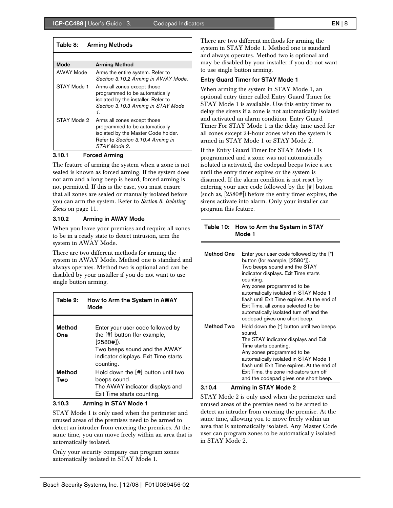| Mode              | <b>Arming Method</b>                                                                                                                                      |
|-------------------|-----------------------------------------------------------------------------------------------------------------------------------------------------------|
| AWAY Mode         | Arms the entire system. Refer to<br>Section 3.10.2 Arming in AWAY Mode.                                                                                   |
| STAY Mode 1<br>1. | Arms all zones except those<br>programmed to be automatically<br>isolated by the installer. Refer to<br>Section 3.10.3 Arming in STAY Mode                |
| STAY Mode 2       | Arms all zones except those<br>programmed to be automatically<br>isolated by the Master Code holder.<br>Refer to Section 3.10.4 Arming in<br>STAY Mode 2. |

#### 3.10.1 Forced Arming

The feature of arming the system when a zone is not sealed is known as forced arming. If the system does not arm and a long beep is heard, forced arming is not permitted. If this is the case, you must ensure that all zones are sealed or manually isolated before you can arm the system. Refer to *Section 8. Isolating Zones* on page 11.

#### 3.10.2 Arming in AWAY Mode

When you leave your premises and require all zones to be in a ready state to detect intrusion, arm the system in AWAY Mode.

There are two different methods for arming the system in AWAY Mode. Method one is standard and always operates. Method two is optional and can be disabled by your installer if you do not want to use single button arming.

| Table 9:      | How to Arm the System in AWAY<br>Mode                                                                                                                                |
|---------------|----------------------------------------------------------------------------------------------------------------------------------------------------------------------|
| Method<br>One | Enter your user code followed by<br>the [#] button (for example,<br>$[2580#]$ .<br>Two beeps sound and the AWAY<br>indicator displays. Exit Time starts<br>counting. |
| Method<br>Two | Hold down the [#] button until two<br>beeps sound.<br>The AWAY indicator displays and<br>Exit Time starts counting.                                                  |

#### 3.10.3 Arming in STAY Mode 1

STAY Mode 1 is only used when the perimeter and unused areas of the premises need to be armed to detect an intruder from entering the premises. At the same time, you can move freely within an area that is automatically isolated.

Only your security company can program zones automatically isolated in STAY Mode 1.

There are two different methods for arming the system in STAY Mode 1. Method one is standard and always operates. Method two is optional and may be disabled by your installer if you do not want to use single button arming.

#### Entry Guard Timer for STAY Mode 1

When arming the system in STAY Mode 1, an optional entry timer called Entry Guard Timer for STAY Mode 1 is available. Use this entry timer to delay the sirens if a zone is not automatically isolated and activated an alarm condition. Entry Guard Timer For STAY Mode 1 is the delay time used for all zones except 24-hour zones when the system is armed in STAY Mode 1 or STAY Mode 2.

If the Entry Guard Timer for STAY Mode 1 is programmed and a zone was not automatically isolated is activated, the codepad beeps twice a sec until the entry timer expires or the system is disarmed. If the alarm condition is not reset by entering your user code followed by the [#] button (such as, [2580#]) before the entry timer expires, the sirens activate into alarm. Only your installer can program this feature.

| Table 10: How to Arm the System in STAY |
|-----------------------------------------|
| Mode 1                                  |

| <b>Method One</b> | Enter your user code followed by the [*]<br>button (for example, [2580*]).<br>Two beeps sound and the STAY<br>indicator displays. Exit Time starts<br>counting.<br>Any zones programmed to be<br>automatically isolated in STAY Mode 1<br>flash until Exit Time expires. At the end of<br>Exit Time, all zones selected to be<br>automatically isolated turn off and the<br>codepad gives one short beep. |
|-------------------|-----------------------------------------------------------------------------------------------------------------------------------------------------------------------------------------------------------------------------------------------------------------------------------------------------------------------------------------------------------------------------------------------------------|
| <b>Method Two</b> | Hold down the [*] button until two beeps<br>sound.<br>The STAY indicator displays and Exit<br>Time starts counting.<br>Any zones programmed to be<br>automatically isolated in STAY Mode 1<br>flash until Exit Time expires. At the end of<br>Exit Time, the zone indicators turn off<br>and the codepad gives one short beep.                                                                            |

#### 3.10.4 Arming in STAY Mode 2

STAY Mode 2 is only used when the perimeter and unused areas of the premise need to be armed to detect an intruder from entering the premise. At the same time, allowing you to move freely within an area that is automatically isolated. Any Master Code user can program zones to be automatically isolated in STAY Mode 2.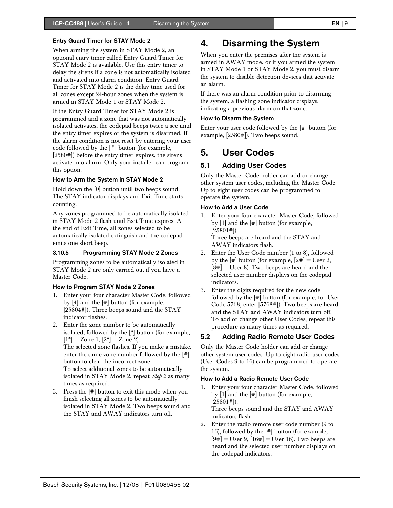#### Entry Guard Timer for STAY Mode 2

When arming the system in STAY Mode 2, an optional entry timer called Entry Guard Timer for STAY Mode 2 is available. Use this entry timer to delay the sirens if a zone is not automatically isolated and activated into alarm condition. Entry Guard Timer for STAY Mode 2 is the delay time used for all zones except 24-hour zones when the system is armed in STAY Mode 1 or STAY Mode 2.

If the Entry Guard Timer for STAY Mode 2 is programmed and a zone that was not automatically isolated activates, the codepad beeps twice a sec until the entry timer expires or the system is disarmed. If the alarm condition is not reset by entering your user code followed by the [#] button (for example, [2580#]) before the entry timer expires, the sirens activate into alarm. Only your installer can program this option.

#### How to Arm the System in STAY Mode 2

Hold down the [0] button until two beeps sound. The STAY indicator displays and Exit Time starts counting.

Any zones programmed to be automatically isolated in STAY Mode 2 flash until Exit Time expires. At the end of Exit Time, all zones selected to be automatically isolated extinguish and the codepad emits one short beep.

#### 3.10.5 Programming STAY Mode 2 Zones

Programming zones to be automatically isolated in STAY Mode 2 are only carried out if you have a Master Code.

#### How to Program STAY Mode 2 Zones

- 1. Enter your four character Master Code, followed by [4] and the [#] button (for example, [25804#]). Three beeps sound and the STAY indicator flashes.
- 2. Enter the zone number to be automatically isolated, followed by the [\*] button (for example,  $[1^*]$  = Zone 1,  $[2^*]$  = Zone 2).

The selected zone flashes. If you make a mistake, enter the same zone number followed by the [#] button to clear the incorrect zone. To select additional zones to be automatically isolated in STAY Mode 2, repeat *Step 2* as many times as required.

3. Press the [#] button to exit this mode when you finish selecting all zones to be automatically isolated in STAY Mode 2. Two beeps sound and the STAY and AWAY indicators turn off.

## 4. Disarming the System

When you enter the premises after the system is armed in AWAY mode, or if you armed the system in STAY Mode 1 or STAY Mode 2, you must disarm the system to disable detection devices that activate an alarm.

If there was an alarm condition prior to disarming the system, a flashing zone indicator displays, indicating a previous alarm on that zone.

#### How to Disarm the System

Enter your user code followed by the [#] button (for example, [2580#]). Two beeps sound.

## 5. User Codes

### 5.1 Adding User Codes

Only the Master Code holder can add or change other system user codes, including the Master Code. Up to eight user codes can be programmed to operate the system.

#### How to Add a User Code

- 1. Enter your four character Master Code, followed by [1] and the [#] button (for example,  $[25801#]$ . Three beeps are heard and the STAY and AWAY indicators flash.
- 2. Enter the User Code number (1 to 8), followed by the  $[\#]$  button (for example,  $[2\#] = \text{User } 2$ ,  $[8#] =$  User 8). Two beeps are heard and the selected user number displays on the codepad indicators.
- 3. Enter the digits required for the new code followed by the [#] button (for example, for User Code 5768, enter [5768#]). Two beeps are heard and the STAY and AWAY indicators turn off. To add or change other User Codes, repeat this procedure as many times as required.

### 5.2 Adding Radio Remote User Codes

Only the Master Code holder can add or change other system user codes. Up to eight radio user codes (User Codes 9 to 16) can be programmed to operate the system.

#### How to Add a Radio Remote User Code

- 1. Enter your four character Master Code, followed by [1] and the [#] button (for example,  $[25801#]$ ). Three beeps sound and the STAY and AWAY indicators flash.
- 2. Enter the radio remote user code number (9 to 16), followed by the [#] button (for example,  $[9#] =$  User 9,  $[16#] =$  User 16). Two beeps are heard and the selected user number displays on the codepad indicators.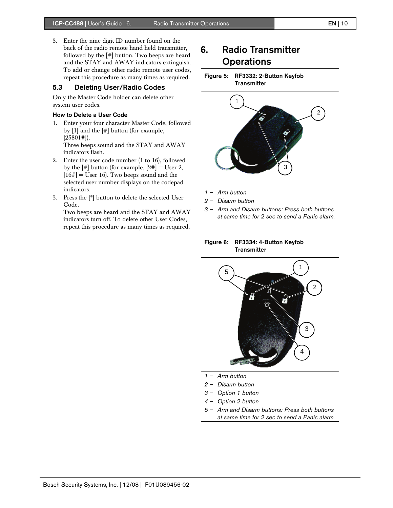3. Enter the nine digit ID number found on the back of the radio remote hand held transmitter, followed by the [#] button. Two beeps are heard and the STAY and AWAY indicators extinguish. To add or change other radio remote user codes, repeat this procedure as many times as required.

### 5.3 Deleting User/Radio Codes

Only the Master Code holder can delete other system user codes.

#### How to Delete a User Code

1. Enter your four character Master Code, followed by [1] and the [#] button (for example,  $[25801!]$ ). Three beeps sound and the STAY and AWAY

indicators flash. 2. Enter the user code number (1 to 16), followed by the  $[\#]$  button (for example,  $[2\#] = \text{User } 2$ ,  $[16\#]$  = User 16). Two beeps sound and the

selected user number displays on the codepad indicators. 3. Press the [\*] button to delete the selected User

Code. Two beeps are heard and the STAY and AWAY indicators turn off. To delete other User Codes, repeat this procedure as many times as required.

## 6. Radio Transmitter **Operations**





- *1 Arm button*
- *2 Disarm button*
- *3 Arm and Disarm buttons: Press both buttons at same time for 2 sec to send a Panic alarm.*

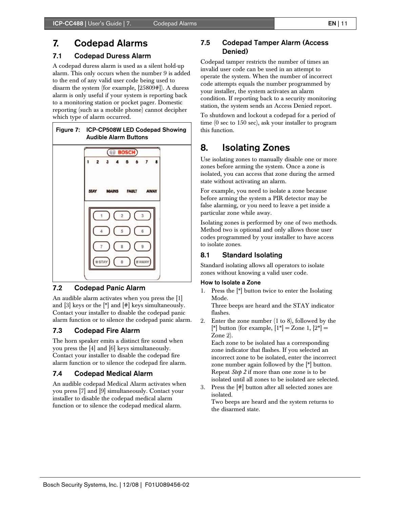## 7. Codepad Alarms

### 7.1 Codepad Duress Alarm

A codepad duress alarm is used as a silent hold-up alarm. This only occurs when the number 9 is added to the end of any valid user code being used to disarm the system (for example, [25809#]). A duress alarm is only useful if your system is reporting back to a monitoring station or pocket pager. Domestic reporting (such as a mobile phone) cannot decipher which type of alarm occurred.



#### 7.2 Codepad Panic Alarm

An audible alarm activates when you press the [1] and  $[3]$  keys or the  $[*]$  and  $[#]$  keys simultaneously. Contact your installer to disable the codepad panic alarm function or to silence the codepad panic alarm.

#### 7.3 Codepad Fire Alarm

The horn speaker emits a distinct fire sound when you press the [4] and [6] keys simultaneously. Contact your installer to disable the codepad fire alarm function or to silence the codepad fire alarm.

### 7.4 Codepad Medical Alarm

An audible codepad Medical Alarm activates when you press [7] and [9] simultaneously. Contact your installer to disable the codepad medical alarm function or to silence the codepad medical alarm.

### 7.5 Codepad Tamper Alarm (Access Denied)

Codepad tamper restricts the number of times an invalid user code can be used in an attempt to operate the system. When the number of incorrect code attempts equals the number programmed by your installer, the system activates an alarm condition. If reporting back to a security monitoring station, the system sends an Access Denied report.

To shutdown and lockout a codepad for a period of time (0 sec to 150 sec), ask your installer to program this function.

## 8. Isolating Zones

Use isolating zones to manually disable one or more zones before arming the system. Once a zone is isolated, you can access that zone during the armed state without activating an alarm.

For example, you need to isolate a zone because before arming the system a PIR detector may be false alarming, or you need to leave a pet inside a particular zone while away.

Isolating zones is performed by one of two methods. Method two is optional and only allows those user codes programmed by your installer to have access to isolate zones.

### 8.1 Standard Isolating

Standard isolating allows all operators to isolate zones without knowing a valid user code.

#### How to Isolate a Zone

1. Press the [\*] button twice to enter the Isolating Mode.

Three beeps are heard and the STAY indicator flashes.

2. Enter the zone number (1 to 8), followed by the [\*] button (for example,  $[1^*] =$  Zone 1,  $[2^*] =$ Zone 2).

Each zone to be isolated has a corresponding zone indicator that flashes. If you selected an incorrect zone to be isolated, enter the incorrect zone number again followed by the [\*] button. Repeat *Step 2* if more than one zone is to be isolated until all zones to be isolated are selected.

3. Press the [#] button after all selected zones are isolated.

Two beeps are heard and the system returns to the disarmed state.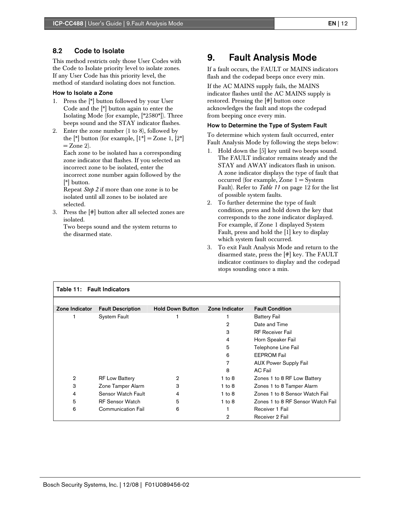### 8.2 Code to Isolate

This method restricts only those User Codes with the Code to Isolate priority level to isolate zones. If any User Code has this priority level, the method of standard isolating does not function.

#### How to Isolate a Zone

- 1. Press the [\*] button followed by your User Code and the [\*] button again to enter the Isolating Mode (for example, [\*2580\*]). Three beeps sound and the STAY indicator flashes.
- 2. Enter the zone number (1 to 8), followed by the  $\mathbb{R}^*$  button (for example,  $[1^*] =$ Zone 1,  $[2^*]$  $=$  Zone 2).

Each zone to be isolated has a corresponding zone indicator that flashes. If you selected an incorrect zone to be isolated, enter the incorrect zone number again followed by the [\*] button.

Repeat *Step 2* if more than one zone is to be isolated until all zones to be isolated are selected.

3. Press the [#] button after all selected zones are isolated.

Two beeps sound and the system returns to the disarmed state.

## 9. Fault Analysis Mode

If a fault occurs, the FAULT or MAINS indicators flash and the codepad beeps once every min.

If the AC MAINS supply fails, the MAINS indicator flashes until the AC MAINS supply is restored. Pressing the [#] button once acknowledges the fault and stops the codepad from beeping once every min.

#### How to Determine the Type of System Fault

To determine which system fault occurred, enter Fault Analysis Mode by following the steps below:

- 1. Hold down the [5] key until two beeps sound. The FAULT indicator remains steady and the STAY and AWAY indicators flash in unison. A zone indicator displays the type of fault that occurred (for example, Zone  $1 = System$ Fault). Refer to *Table 11* on page 12 for the list of possible system faults.
- 2. To further determine the type of fault condition, press and hold down the key that corresponds to the zone indicator displayed. For example, if Zone 1 displayed System Fault, press and hold the [1] key to display which system fault occurred.
- 3. To exit Fault Analysis Mode and return to the disarmed state, press the [#] key. The FAULT indicator continues to display and the codepad stops sounding once a min.

| Table 11: Fault Indicators |                          |                         |                |                                   |
|----------------------------|--------------------------|-------------------------|----------------|-----------------------------------|
|                            |                          |                         |                |                                   |
| Zone Indicator             | <b>Fault Description</b> | <b>Hold Down Button</b> | Zone Indicator | <b>Fault Condition</b>            |
|                            | <b>System Fault</b>      |                         |                | <b>Battery Fail</b>               |
|                            |                          |                         | 2              | Date and Time                     |
|                            |                          |                         | 3              | <b>RF Receiver Fail</b>           |
|                            |                          |                         | 4              | Horn Speaker Fail                 |
|                            |                          |                         | 5              | Telephone Line Fail               |
|                            |                          |                         | 6              | <b>EEPROM Fail</b>                |
|                            |                          |                         | 7              | <b>AUX Power Supply Fail</b>      |
|                            |                          |                         | 8              | AC Fail                           |
| $\overline{2}$             | <b>RF Low Battery</b>    | 2                       | $1$ to $8$     | Zones 1 to 8 RF Low Battery       |
| 3                          | Zone Tamper Alarm        | 3                       | $1$ to $8$     | Zones 1 to 8 Tamper Alarm         |
| 4                          | Sensor Watch Fault       | 4                       | $1$ to $8$     | Zones 1 to 8 Sensor Watch Fail    |
| 5                          | <b>RF Sensor Watch</b>   | 5                       | $1$ to $8$     | Zones 1 to 8 RF Sensor Watch Fail |
| 6                          | Communication Fail       | 6                       |                | Receiver 1 Fail                   |
|                            |                          |                         | 2              | Receiver 2 Fail                   |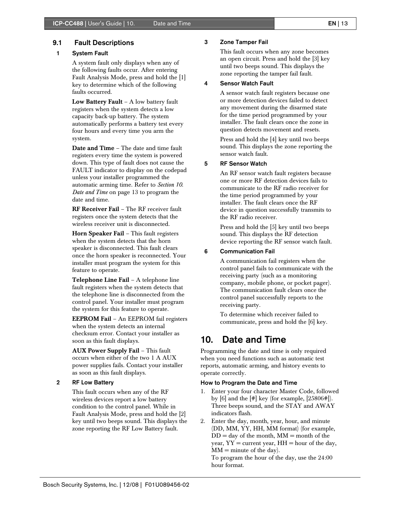#### 9.1 Fault Descriptions

#### 1 System Fault

 A system fault only displays when any of the following faults occur. After entering Fault Analysis Mode, press and hold the [1] key to determine which of the following faults occurred.

Low Battery Fault – A low battery fault registers when the system detects a low capacity back-up battery. The system automatically performs a battery test every four hours and every time you arm the system.

Date and Time – The date and time fault registers every time the system is powered down. This type of fault does not cause the FAULT indicator to display on the codepad unless your installer programmed the automatic arming time. Refer to *Section 10. Date and Time* on page 13 to program the date and time.

RF Receiver Fail – The RF receiver fault registers once the system detects that the wireless receiver unit is disconnected.

Horn Speaker Fail - This fault registers when the system detects that the horn speaker is disconnected. This fault clears once the horn speaker is reconnected. Your installer must program the system for this feature to operate.

Telephone Line Fail – A telephone line fault registers when the system detects that the telephone line is disconnected from the control panel. Your installer must program the system for this feature to operate.

EEPROM Fail – An EEPROM fail registers when the system detects an internal checksum error. Contact your installer as soon as this fault displays.

AUX Power Supply Fail – This fault occurs when either of the two 1 A AUX power supplies fails. Contact your installer as soon as this fault displays.

#### 2 RF Low Battery

 This fault occurs when any of the RF wireless devices report a low battery condition to the control panel. While in Fault Analysis Mode, press and hold the [2] key until two beeps sound. This displays the zone reporting the RF Low Battery fault.

#### 3 Zone Tamper Fail

 This fault occurs when any zone becomes an open circuit. Press and hold the [3] key until two beeps sound. This displays the zone reporting the tamper fail fault.

#### 4 Sensor Watch Fault

 A sensor watch fault registers because one or more detection devices failed to detect any movement during the disarmed state for the time period programmed by your installer. The fault clears once the zone in question detects movement and resets.

Press and hold the [4] key until two beeps sound. This displays the zone reporting the sensor watch fault.

#### 5 RF Sensor Watch

 An RF sensor watch fault registers because one or more RF detection devices fails to communicate to the RF radio receiver for the time period programmed by your installer. The fault clears once the RF device in question successfully transmits to the RF radio receiver.

Press and hold the [5] key until two beeps sound. This displays the RF detection device reporting the RF sensor watch fault.

#### 6 Communication Fail

 A communication fail registers when the control panel fails to communicate with the receiving party (such as a monitoring company, mobile phone, or pocket pager). The communication fault clears once the control panel successfully reports to the receiving party.

To determine which receiver failed to communicate, press and hold the [6] key.

## 10. Date and Time

Programming the date and time is only required when you need functions such as automatic test reports, automatic arming, and history events to operate correctly.

#### How to Program the Date and Time

- 1. Enter your four character Master Code, followed by [6] and the [#] key (for example, [25806#]). Three beeps sound, and the STAY and AWAY indicators flash.
- 2. Enter the day, month, year, hour, and minute (DD, MM, YY, HH, MM format) (for example,  $DD = day$  of the month,  $MM =$  month of the year,  $YY =$  current year,  $HH =$  hour of the day,  $MM =$  minute of the day).

To program the hour of the day, use the 24:00 hour format.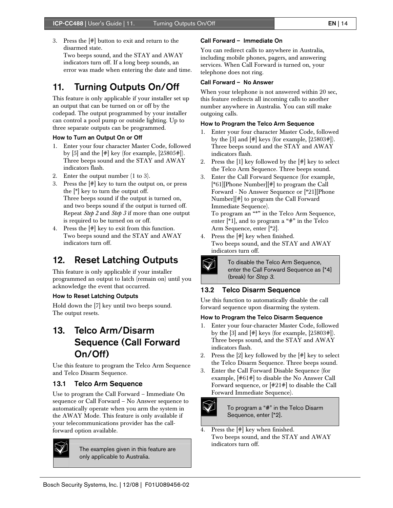3. Press the [#] button to exit and return to the disarmed state. Two beeps sound, and the STAY and AWAY indicators turn off. If a long beep sounds, an error was made when entering the date and time.

## 11. Turning Outputs On/Off

This feature is only applicable if your installer set up an output that can be turned on or off by the codepad. The output programmed by your installer can control a pool pump or outside lighting. Up to three separate outputs can be programmed.

#### How to Turn an Output On or Off

- 1. Enter your four character Master Code, followed by [5] and the  $[\#]$  key (for example, [25805#]). Three beeps sound and the STAY and AWAY indicators flash.
- 2. Enter the output number (1 to 3).
- 3. Press the [#] key to turn the output on, or press the [\*] key to turn the output off. Three beeps sound if the output is turned on, and two beeps sound if the output is turned off. Repeat *Step 2* and *Step 3* if more than one output is required to be turned on or off.
- 4. Press the [#] key to exit from this function. Two beeps sound and the STAY and AWAY indicators turn off.

## 12. Reset Latching Outputs

This feature is only applicable if your installer programmed an output to latch (remain on) until you acknowledge the event that occurred.

#### How to Reset Latching Outputs

Hold down the [7] key until two beeps sound. The output resets.

## 13. Telco Arm/Disarm Sequence (Call Forward On/Off)

Use this feature to program the Telco Arm Sequence and Telco Disarm Sequence.

#### 13.1 Telco Arm Sequence

Use to program the Call Forward – Immediate On sequence or Call Forward – No Answer sequence to automatically operate when you arm the system in the AWAY Mode. This feature is only available if your telecommunications provider has the callforward option available.



The examples given in this feature are only applicable to Australia.

#### Call Forward – Immediate On

You can redirect calls to anywhere in Australia, including mobile phones, pagers, and answering services. When Call Forward is turned on, your telephone does not ring.

#### Call Forward – No Answer

When your telephone is not answered within 20 sec, this feature redirects all incoming calls to another number anywhere in Australia. You can still make outgoing calls.

#### How to Program the Telco Arm Sequence

- 1. Enter your four character Master Code, followed by the  $[3]$  and  $[#]$  keys (for example,  $[25803]$ ). Three beeps sound and the STAY and AWAY indicators flash.
- 2. Press the [1] key followed by the [#] key to select the Telco Arm Sequence. Three beeps sound.
- 3. Enter the Call Forward Sequence (for example, [\*61][Phone Number][#] to program the Call Forward - No Answer Sequence or [\*21][Phone Number][#] to program the Call Forward Immediate Sequence).

To program an "\*" in the Telco Arm Sequence, enter [\*1], and to program a "#" in the Telco Arm Sequence, enter [\*2].

4. Press the [#] key when finished. Two beeps sound, and the STAY and AWAY indicators turn off.



To disable the Telco Arm Sequence, enter the Call Forward Sequence as [\*4] (break) for *Step 3.*

## 13.2 Telco Disarm Sequence

Use this function to automatically disable the call forward sequence upon disarming the system.

#### How to Program the Telco Disarm Sequence

- 1. Enter your four-character Master Code, followed by the  $[3]$  and  $[\#]$  keys (for example,  $[25803\#]$ ). Three beeps sound, and the STAY and AWAY indicators flash.
- 2. Press the [2] key followed by the [#] key to select the Telco Disarm Sequence. Three beeps sound.
- 3. Enter the Call Forward Disable Sequence (for example, [#61#] to disable the No Answer Call Forward sequence, or [#21#] to disable the Call Forward Immediate Sequence).



To program a "#" in the Telco Disarm Sequence, enter [\*2].

4. Press the [#] key when finished. Two beeps sound, and the STAY and AWAY indicators turn off.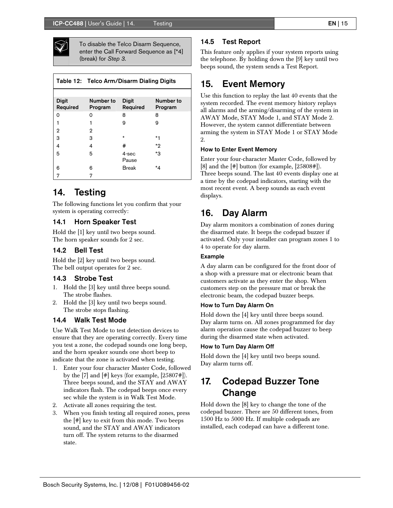

To disable the Telco Disarm Sequence, enter the Call Forward Sequence as [\*4] (break) for *Step 3.*

|                          | Table 12: Telco Arm/Disarm Dialing Digits |                          |                      |
|--------------------------|-------------------------------------------|--------------------------|----------------------|
|                          |                                           |                          |                      |
| <b>Digit</b><br>Required | Number to<br>Program                      | <b>Digit</b><br>Required | Number to<br>Program |
| $\Omega$                 | O                                         | 8                        | 8                    |
| 1                        | 1                                         | 9                        | 9                    |
| 2                        | 2                                         |                          |                      |
| 3                        | З                                         | $\star$                  | $*1$                 |
| 4                        | 4                                         | #                        | *2                   |
| 5                        | 5                                         | 4-sec<br>Pause           | *3                   |
| 6                        | 6                                         | Break                    | *4                   |
| 7                        | 7                                         |                          |                      |

## 14. Testing

The following functions let you confirm that your system is operating correctly:

#### 14.1 Horn Speaker Test

Hold the [1] key until two beeps sound. The horn speaker sounds for 2 sec.

#### 14.2 Bell Test

Hold the [2] key until two beeps sound. The bell output operates for 2 sec.

#### 14.3 Strobe Test

- 1. Hold the [3] key until three beeps sound. The strobe flashes.
- 2. Hold the [3] key until two beeps sound. The strobe stops flashing.

#### 14.4 Walk Test Mode

Use Walk Test Mode to test detection devices to ensure that they are operating correctly. Every time you test a zone, the codepad sounds one long beep, and the horn speaker sounds one short beep to indicate that the zone is activated when testing.

- 1. Enter your four character Master Code, followed by the  $[7]$  and  $[#]$  keys (for example,  $[25807]$ ). Three beeps sound, and the STAY and AWAY indicators flash. The codepad beeps once every sec while the system is in Walk Test Mode.
- 2. Activate all zones requiring the test.
- 3. When you finish testing all required zones, press the [#] key to exit from this mode. Two beeps sound, and the STAY and AWAY indicators turn off. The system returns to the disarmed state.

#### 14.5 Test Report

This feature only applies if your system reports using the telephone. By holding down the [9] key until two beeps sound, the system sends a Test Report.

## 15. Event Memory

Use this function to replay the last 40 events that the system recorded. The event memory history replays all alarms and the arming/disarming of the system in AWAY Mode, STAY Mode 1, and STAY Mode 2. However, the system cannot differentiate between arming the system in STAY Mode 1 or STAY Mode 2.

#### How to Enter Event Memory

Enter your four-character Master Code, followed by [8] and the [#] button (for example, [25808#]). Three beeps sound. The last 40 events display one at a time by the codepad indicators, starting with the most recent event. A beep sounds as each event displays.

## 16. Day Alarm

Day alarm monitors a combination of zones during the disarmed state. It beeps the codepad buzzer if activated. Only your installer can program zones 1 to 4 to operate for day alarm.

#### Example

A day alarm can be configured for the front door of a shop with a pressure mat or electronic beam that customers activate as they enter the shop. When customers step on the pressure mat or break the electronic beam, the codepad buzzer beeps.

#### How to Turn Day Alarm On

Hold down the [4] key until three beeps sound. Day alarm turns on. All zones programmed for day alarm operation cause the codepad buzzer to beep during the disarmed state when activated.

#### How to Turn Day Alarm Off

Hold down the [4] key until two beeps sound. Day alarm turns off.

## 17. Codepad Buzzer Tone Change

Hold down the [8] key to change the tone of the codepad buzzer. There are 50 different tones, from 1500 Hz to 5000 Hz. If multiple codepads are installed, each codepad can have a different tone.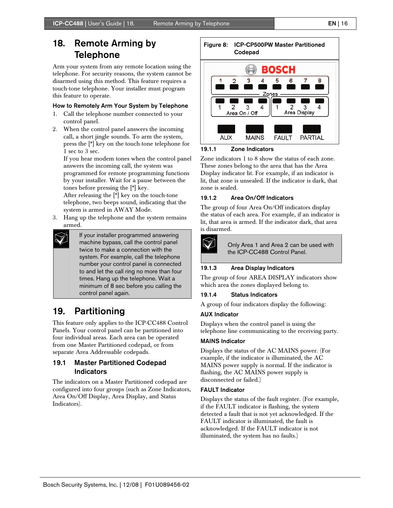## 18. Remote Arming by Telephone

Arm your system from any remote location using the telephone. For security reasons, the system cannot be disarmed using this method. This feature requires a touch-tone telephone. Your installer must program this feature to operate.

### How to Remotely Arm Your System by Telephone

- 1. Call the telephone number connected to your control panel.
- 2. When the control panel answers the incoming call, a short jingle sounds. To arm the system, press the [\*] key on the touch-tone telephone for 1 sec to 3 sec.

If you hear modem tones when the control panel answers the incoming call, the system was programmed for remote programming functions by your installer. Wait for a pause between the tones before pressing the [\*] key.

After releasing the [\*] key on the touch-tone telephone, two beeps sound, indicating that the system is armed in AWAY Mode.

3. Hang up the telephone and the system remains armed.



If your installer programmed answering machine bypass, call the control panel twice to make a connection with the system. For example, call the telephone number your control panel is connected to and let the call ring no more than four times. Hang up the telephone. Wait a minimum of 8 sec before you calling the control panel again.

## 19. Partitioning

This feature only applies to the ICP-CC488 Control Panels. Your control panel can be partitioned into four individual areas. Each area can be operated from one Master Partitioned codepad, or from separate Area Addressable codepads.

### 19.1 Master Partitioned Codepad Indicators

The indicators on a Master Partitioned codepad are configured into four groups (such as Zone Indicators, Area On/Off Display, Area Display, and Status Indicators).



### 19.1.1 Zone Indicators

Zone indicators 1 to 8 show the status of each zone. These zones belong to the area that has the Area Display indicator lit. For example, if an indicator is lit, that zone is unsealed. If the indicator is dark, that zone is sealed.

### 19.1.2 Area On/Off Indicators

The group of four Area On/Off indicators display the status of each area. For example, if an indicator is lit, that area is armed. If the indicator dark, that area is disarmed.



Only Area 1 and Area 2 can be used with the ICP-CC488 Control Panel.

### 19.1.3 Area Display Indicators

The group of four AREA DISPLAY indicators show which area the zones displayed belong to.

### 19.1.4 Status Indicators

A group of four indicators display the following:

#### AUX Indicator

Displays when the control panel is using the telephone line communicating to the receiving party.

#### MAINS Indicator

Displays the status of the AC MAINS power. (For example, if the indicator is illuminated, the AC MAINS power supply is normal. If the indicator is flashing, the AC MAINS power supply is disconnected or failed.)

#### FAULT Indicator

Displays the status of the fault register. (For example, if the FAULT indicator is flashing, the system detected a fault that is not yet acknowledged. If the FAULT indicator is illuminated, the fault is acknowledged. If the FAULT indicator is not illuminated, the system has no faults.)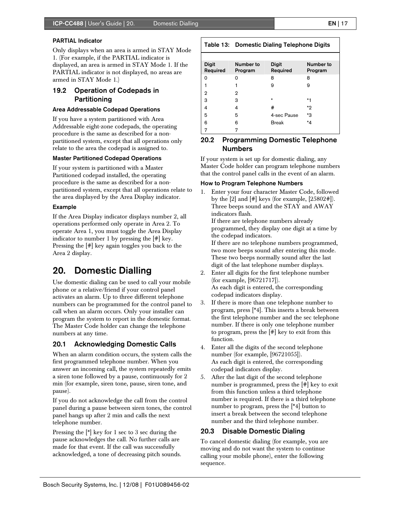#### PARTIAL Indicator

Only displays when an area is armed in STAY Mode 1. (For example, if the PARTIAL indicator is displayed, an area is armed in STAY Mode 1. If the PARTIAL indicator is not displayed, no areas are armed in STAY Mode 1.)

### 19.2 Operation of Codepads in **Partitioning**

#### Area Addressable Codepad Operations

If you have a system partitioned with Area Addressable eight-zone codepads, the operating procedure is the same as described for a nonpartitioned system, except that all operations only relate to the area the codepad is assigned to.

#### Master Partitioned Codepad Operations

If your system is partitioned with a Master Partitioned codepad installed, the operating procedure is the same as described for a nonpartitioned system, except that all operations relate to the area displayed by the Area Display indicator.

#### Example

If the Area Display indicator displays number 2, all operations performed only operate in Area 2. To operate Area 1, you must toggle the Area Display indicator to number 1 by pressing the [#] key. Pressing the [#] key again toggles you back to the Area 2 display.

## 20. Domestic Dialling

Use domestic dialing can be used to call your mobile phone or a relative/friend if your control panel activates an alarm. Up to three different telephone numbers can be programmed for the control panel to call when an alarm occurs. Only your installer can program the system to report in the domestic format. The Master Code holder can change the telephone numbers at any time.

#### 20.1 Acknowledging Domestic Calls

When an alarm condition occurs, the system calls the first programmed telephone number. When you answer an incoming call, the system repeatedly emits a siren tone followed by a pause, continuously for 2 min (for example, siren tone, pause, siren tone, and pause).

If you do not acknowledge the call from the control panel during a pause between siren tones, the control panel hangs up after 2 min and calls the next telephone number.

Pressing the [\*] key for 1 sec to 3 sec during the pause acknowledges the call. No further calls are made for that event. If the call was successfully acknowledged, a tone of decreasing pitch sounds.

| <b>Digit</b><br>Required | Number to<br>Program | <b>Digit</b><br>Required | Number to<br>Program |
|--------------------------|----------------------|--------------------------|----------------------|
| 0                        | ი                    | 8                        | 8                    |
|                          |                      | 9                        | 9                    |
| 2                        | 2                    |                          |                      |
| 3                        | 3                    | $\star$                  | $*1$                 |
| 4                        | 4                    | #                        | *2                   |
| 5                        | 5                    | 4-sec Pause              | *3                   |
| 6                        | 6                    | <b>Break</b>             | *4                   |
| 7                        | 7                    |                          |                      |

Table 13: Domestic Dialing Telephone Digits

### 20.2 Programming Domestic Telephone Numbers

If your system is set up for domestic dialing, any Master Code holder can program telephone numbers that the control panel calls in the event of an alarm.

#### How to Program Telephone Numbers

1. Enter your four character Master Code, followed by the  $[2]$  and  $[\#]$  keys (for example,  $[25802\#]$ ). Three beeps sound and the STAY and AWAY indicators flash.

If there are telephone numbers already programmed, they display one digit at a time by the codepad indicators.

If there are no telephone numbers programmed, two more beeps sound after entering this mode. These two beeps normally sound after the last digit of the last telephone number displays.

- 2. Enter all digits for the first telephone number (for example, [96721717]). As each digit is entered, the corresponding codepad indicators display.
- 3. If there is more than one telephone number to program, press [\*4]. This inserts a break between the first telephone number and the sec telephone number. If there is only one telephone number to program, press the [#] key to exit from this function.
- 4. Enter all the digits of the second telephone number (for example, [96721055]). As each digit is entered, the corresponding codepad indicators display.
- 5. After the last digit of the second telephone number is programmed, press the [#] key to exit from this function unless a third telephone number is required. If there is a third telephone number to program, press the [\*4] button to insert a break between the second telephone number and the third telephone number.

#### 20.3 Disable Domestic Dialing

To cancel domestic dialing (for example, you are moving and do not want the system to continue calling your mobile phone), enter the following sequence.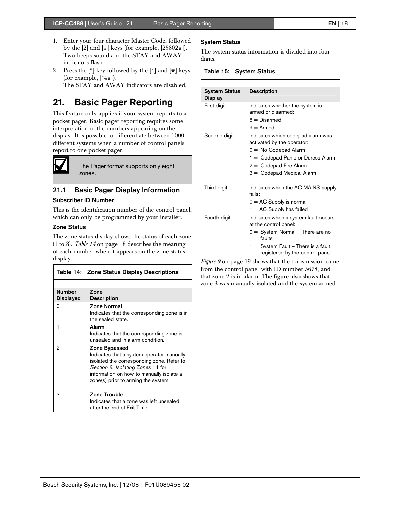- 1. Enter your four character Master Code, followed by the  $[2]$  and  $[\#]$  keys (for example,  $[25802\#]$ ). Two beeps sound and the STAY and AWAY indicators flash.
- 2. Press the  $\lceil * \rceil$  key followed by the  $\lceil 4 \rceil$  and  $\lceil # \rceil$  keys (for example, [\*4#]). The STAY and AWAY indicators are disabled.

## 21. Basic Pager Reporting

This feature only applies if your system reports to a pocket pager. Basic pager reporting requires some interpretation of the numbers appearing on the display. It is possible to differentiate between 1000 different systems when a number of control panels report to one pocket pager.



The Pager format supports only eight zones.

### 21.1 Basic Pager Display Information

#### Subscriber ID Number

This is the identification number of the control panel, which can only be programmed by your installer.

#### Zone Status

The zone status display shows the status of each zone (1 to 8). *Table 14* on page 18 describes the meaning of each number when it appears on the zone status display.

|                                   | Table 14: Zone Status Display Descriptions                                                                                                                                                                                      |
|-----------------------------------|---------------------------------------------------------------------------------------------------------------------------------------------------------------------------------------------------------------------------------|
|                                   |                                                                                                                                                                                                                                 |
| <b>Number</b><br><b>Displayed</b> | Zone<br><b>Description</b>                                                                                                                                                                                                      |
| $\Omega$                          | <b>Zone Normal</b><br>Indicates that the corresponding zone is in<br>the sealed state.                                                                                                                                          |
| 1                                 | Alarm<br>Indicates that the corresponding zone is<br>unsealed and in alarm condition.                                                                                                                                           |
| 2                                 | Zone Bypassed<br>Indicates that a system operator manually<br>isolated the corresponding zone. Refer to<br>Section 8. Isolating Zones 11 for<br>information on how to manually isolate a<br>zone(s) prior to arming the system. |
| з                                 | Zone Trouble<br>Indicates that a zone was left unsealed<br>after the end of Fxit Time.                                                                                                                                          |

#### System Status

The system status information is divided into four digits.

| Table 15: System Status                |                                                                                         |  |
|----------------------------------------|-----------------------------------------------------------------------------------------|--|
|                                        |                                                                                         |  |
| <b>System Status</b><br><b>Display</b> | <b>Description</b>                                                                      |  |
| First digit                            | Indicates whether the system is<br>armed or disarmed:<br>$8 =$ Disarmed<br>$9 =$ Armed  |  |
| Second digit                           | Indicates which codepad alarm was<br>activated by the operator:<br>0 = No Codepad Alarm |  |
|                                        | 1 = Codepad Panic or Duress Alarm                                                       |  |
|                                        | $2 =$ Codepad Fire Alarm                                                                |  |
|                                        | 3 = Codepad Medical Alarm                                                               |  |
| Third digit                            | Indicates when the AC MAINS supply<br>fails:                                            |  |
|                                        | $0 = AC$ Supply is normal                                                               |  |
|                                        | $1 = AC$ Supply has failed                                                              |  |
| Fourth digit                           | Indicates when a system fault occurs<br>at the control panel:                           |  |
|                                        | $0 = System Normal - There$ are no<br>faults                                            |  |
|                                        | $1 =$ System Fault $-$ There is a fault<br>registered by the control panel              |  |

*Figure 9* on page 19 shows that the transmission came from the control panel with ID number 5678, and that zone 2 is in alarm. The figure also shows that zone 3 was manually isolated and the system armed.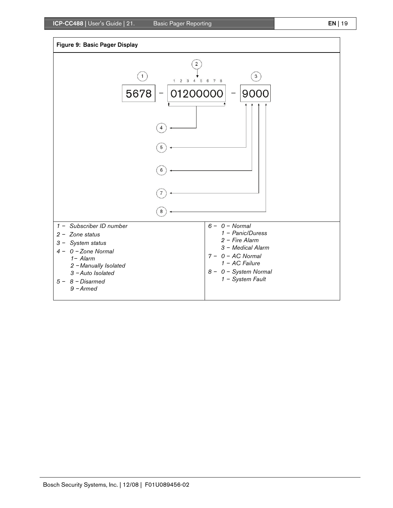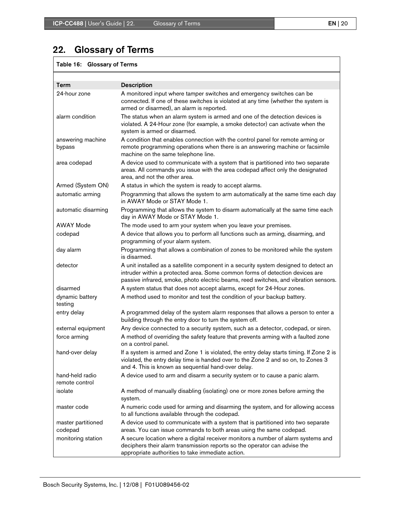## 22. Glossary of Terms

## Table 16: Glossary of Terms

| Term                              | <b>Description</b>                                                                                                                                                                                                                                           |
|-----------------------------------|--------------------------------------------------------------------------------------------------------------------------------------------------------------------------------------------------------------------------------------------------------------|
| 24-hour zone                      | A monitored input where tamper switches and emergency switches can be<br>connected. If one of these switches is violated at any time (whether the system is<br>armed or disarmed), an alarm is reported.                                                     |
| alarm condition                   | The status when an alarm system is armed and one of the detection devices is<br>violated. A 24-Hour zone (for example, a smoke detector) can activate when the<br>system is armed or disarmed.                                                               |
| answering machine<br>bypass       | A condition that enables connection with the control panel for remote arming or<br>remote programming operations when there is an answering machine or facsimile<br>machine on the same telephone line.                                                      |
| area codepad                      | A device used to communicate with a system that is partitioned into two separate<br>areas. All commands you issue with the area codepad affect only the designated<br>area, and not the other area.                                                          |
| Armed (System ON)                 | A status in which the system is ready to accept alarms.                                                                                                                                                                                                      |
| automatic arming                  | Programming that allows the system to arm automatically at the same time each day<br>in AWAY Mode or STAY Mode 1.                                                                                                                                            |
| automatic disarming               | Programming that allows the system to disarm automatically at the same time each<br>day in AWAY Mode or STAY Mode 1.                                                                                                                                         |
| <b>AWAY Mode</b>                  | The mode used to arm your system when you leave your premises.                                                                                                                                                                                               |
| codepad                           | A device that allows you to perform all functions such as arming, disarming, and<br>programming of your alarm system.                                                                                                                                        |
| day alarm                         | Programming that allows a combination of zones to be monitored while the system<br>is disarmed.                                                                                                                                                              |
| detector                          | A unit installed as a satellite component in a security system designed to detect an<br>intruder within a protected area. Some common forms of detection devices are<br>passive infrared, smoke, photo electric beams, reed switches, and vibration sensors. |
| disarmed                          | A system status that does not accept alarms, except for 24-Hour zones.                                                                                                                                                                                       |
| dynamic battery<br>testing        | A method used to monitor and test the condition of your backup battery.                                                                                                                                                                                      |
| entry delay                       | A programmed delay of the system alarm responses that allows a person to enter a<br>building through the entry door to turn the system off.                                                                                                                  |
| external equipment                | Any device connected to a security system, such as a detector, codepad, or siren.                                                                                                                                                                            |
| force arming                      | A method of overriding the safety feature that prevents arming with a faulted zone<br>on a control panel.                                                                                                                                                    |
| hand-over delay                   | If a system is armed and Zone 1 is violated, the entry delay starts timing. If Zone 2 is<br>violated, the entry delay time is handed over to the Zone 2 and so on, to Zones 3<br>and 4. This is known as sequential hand-over delay.                         |
| hand-held radio<br>remote control | A device used to arm and disarm a security system or to cause a panic alarm.                                                                                                                                                                                 |
| isolate                           | A method of manually disabling (isolating) one or more zones before arming the<br>system.                                                                                                                                                                    |
| master code                       | A numeric code used for arming and disarming the system, and for allowing access<br>to all functions available through the codepad.                                                                                                                          |
| master partitioned                | A device used to communicate with a system that is partitioned into two separate                                                                                                                                                                             |
| codepad                           | areas. You can issue commands to both areas using the same codepad.                                                                                                                                                                                          |
| monitoring station                | A secure location where a digital receiver monitors a number of alarm systems and<br>deciphers their alarm transmission reports so the operator can advise the<br>appropriate authorities to take immediate action.                                          |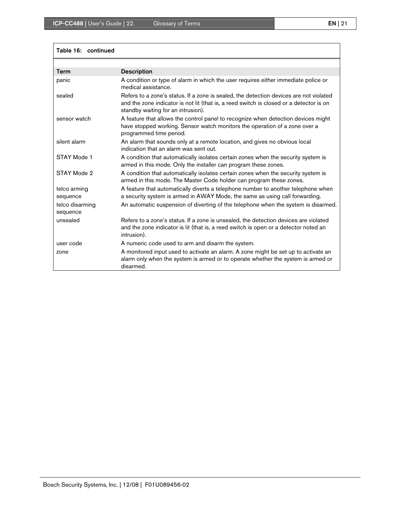| Table 16: continued         |                                                                                                                                                                                                                         |
|-----------------------------|-------------------------------------------------------------------------------------------------------------------------------------------------------------------------------------------------------------------------|
|                             |                                                                                                                                                                                                                         |
| <b>Term</b>                 | <b>Description</b>                                                                                                                                                                                                      |
| panic                       | A condition or type of alarm in which the user requires either immediate police or<br>medical assistance.                                                                                                               |
| sealed                      | Refers to a zone's status. If a zone is sealed, the detection devices are not violated<br>and the zone indicator is not lit (that is, a reed switch is closed or a detector is on<br>standby waiting for an intrusion). |
| sensor watch                | A feature that allows the control panel to recognize when detection devices might<br>have stopped working. Sensor watch monitors the operation of a zone over a<br>programmed time period.                              |
| silent alarm                | An alarm that sounds only at a remote location, and gives no obvious local<br>indication that an alarm was sent out.                                                                                                    |
| STAY Mode 1                 | A condition that automatically isolates certain zones when the security system is<br>armed in this mode. Only the installer can program these zones.                                                                    |
| STAY Mode 2                 | A condition that automatically isolates certain zones when the security system is<br>armed in this mode. The Master Code holder can program these zones.                                                                |
| telco arming<br>sequence    | A feature that automatically diverts a telephone number to another telephone when<br>a security system is armed in AWAY Mode, the same as using call forwarding.                                                        |
| telco disarming<br>sequence | An automatic suspension of diverting of the telephone when the system is disarmed.                                                                                                                                      |
| unsealed                    | Refers to a zone's status. If a zone is unsealed, the detection devices are violated<br>and the zone indicator is lit (that is, a reed switch is open or a detector noted an<br>intrusion).                             |
| user code                   | A numeric code used to arm and disarm the system.                                                                                                                                                                       |
| zone                        | A monitored input used to activate an alarm. A zone might be set up to activate an<br>alarm only when the system is armed or to operate whether the system is armed or<br>disarmed.                                     |

### Bosch Security Systems, Inc. | 12/08 | F01U089456-02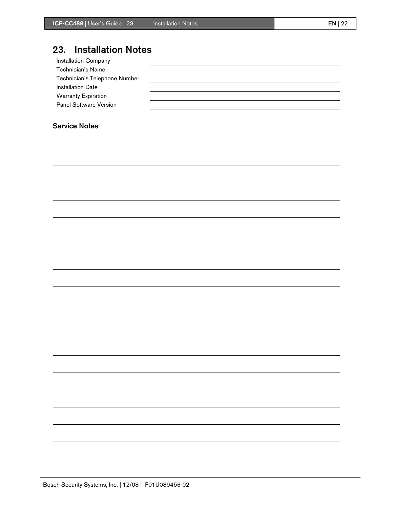## 23. Installation Notes

| <b>Installation Company</b>   |  |
|-------------------------------|--|
| Technician's Name             |  |
| Technician's Telephone Number |  |
| <b>Installation Date</b>      |  |
| <b>Warranty Expiration</b>    |  |
| Panel Software Version        |  |
|                               |  |

### Service Notes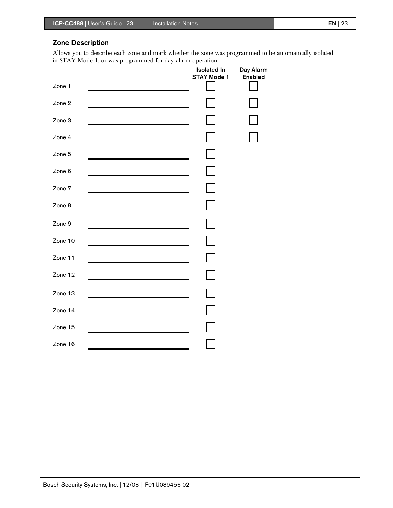## Zone Description

Allows you to describe each zone and mark whether the zone was programmed to be automatically isolated in STAY Mode 1, or was programmed for day alarm operation.

|         | <b>Isolated In</b><br><b>STAY Mode 1</b> | Day Alarm<br><b>Enabled</b> |
|---------|------------------------------------------|-----------------------------|
| Zone 1  |                                          |                             |
| Zone 2  |                                          |                             |
| Zone 3  |                                          |                             |
| Zone 4  |                                          |                             |
| Zone 5  |                                          |                             |
| Zone 6  |                                          |                             |
| Zone 7  |                                          |                             |
| Zone 8  |                                          |                             |
| Zone 9  |                                          |                             |
| Zone 10 |                                          |                             |
| Zone 11 |                                          |                             |
| Zone 12 |                                          |                             |
| Zone 13 |                                          |                             |
| Zone 14 |                                          |                             |
| Zone 15 |                                          |                             |
| Zone 16 |                                          |                             |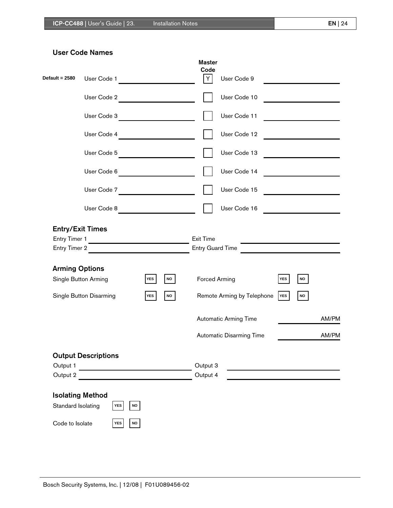| Default = 2580                         | User Code 1                                                      |                                                      | <b>Master</b><br>Code<br>Y | User Code 9                                                                        |                                       |                                                          |
|----------------------------------------|------------------------------------------------------------------|------------------------------------------------------|----------------------------|------------------------------------------------------------------------------------|---------------------------------------|----------------------------------------------------------|
|                                        | User Code 2                                                      |                                                      |                            | User Code 10                                                                       |                                       |                                                          |
|                                        | User Code 3                                                      |                                                      |                            | User Code 11                                                                       |                                       | <u> 1980 - Johann Barbara, martx</u>                     |
|                                        | User Code 4                                                      |                                                      |                            | User Code 12                                                                       |                                       | <u> 1989 - Johann Barbara, martxa a shekara 1989 - A</u> |
|                                        | User Code 5                                                      |                                                      |                            | User Code 13                                                                       |                                       | <u> 1999 - Johann Barbara, martin a</u>                  |
|                                        | User Code 6                                                      | <u> 1980 - Jan James James III, primeirann an t-</u> |                            | User Code 14                                                                       |                                       |                                                          |
|                                        | User Code 7                                                      |                                                      |                            | User Code 15                                                                       |                                       |                                                          |
|                                        | User Code 8                                                      |                                                      |                            | User Code 16                                                                       |                                       | <u> 1980 - Jan Barbara Barat, prima politik (</u>        |
| Entry Timer 1<br><b>Arming Options</b> | Entry Timer 2<br>Single Button Arming<br>Single Button Disarming | NO<br><b>YES</b><br><b>YES</b><br><b>NO</b>          | <b>Exit Time</b>           | <b>Forced Arming</b><br>Remote Arming by Telephone<br><b>Automatic Arming Time</b> | <b>YES</b><br><b>NO</b><br><b>YES</b> | <b>NO</b><br>AM/PM                                       |
|                                        |                                                                  |                                                      |                            | Automatic Disarming Time                                                           |                                       | AM/PM                                                    |
| Output 1<br>Output 2                   | <b>Output Descriptions</b>                                       |                                                      | Output 3<br>Output 4       |                                                                                    |                                       |                                                          |
| Standard Isolating                     | <b>Isolating Method</b><br><b>YES</b><br>$\mathsf{NO}$           |                                                      |                            |                                                                                    |                                       |                                                          |
| Code to Isolate                        | YES<br>$\mathsf{NO}$                                             |                                                      |                            |                                                                                    |                                       |                                                          |

## User Code Names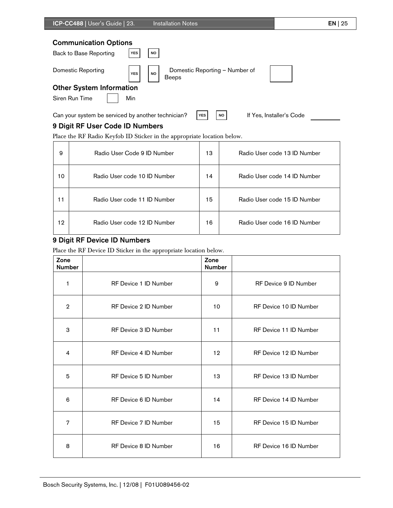| ICP-CC488   User's Guide   23.                         |            | <b>Installation Notes</b>                                   | $EN$   25 |
|--------------------------------------------------------|------------|-------------------------------------------------------------|-----------|
| <b>Communication Options</b><br>Back to Base Reporting | <b>YES</b> | <b>NO</b>                                                   |           |
| Domestic Reporting                                     | <b>YES</b> | Domestic Reporting - Number of<br><b>NO</b><br><b>Beeps</b> |           |
| <b>Other System Information</b>                        |            |                                                             |           |
| Siren Run Time                                         | Min        |                                                             |           |

Can your system be serviced by another technician? **YES NO** If Yes, Installer's Code

## 9 Digit RF User Code ID Numbers

Place the RF Radio Keyfob ID Sticker in the appropriate location below.

| 9  | Radio User Code 9 ID Number  | 13 | Radio User code 13 ID Number |
|----|------------------------------|----|------------------------------|
| 10 | Radio User code 10 ID Number | 14 | Radio User code 14 ID Number |
| 11 | Radio User code 11 ID Number | 15 | Radio User code 15 ID Number |
| 12 | Radio User code 12 ID Number | 16 | Radio User code 16 ID Number |

### 9 Digit RF Device ID Numbers

Place the RF Device ID Sticker in the appropriate location below.

| Zone<br><b>Number</b> |                       | Zone<br><b>Number</b> |                        |
|-----------------------|-----------------------|-----------------------|------------------------|
| 1                     | RF Device 1 ID Number | 9                     | RF Device 9 ID Number  |
| $\overline{2}$        | RF Device 2 ID Number | 10                    | RF Device 10 ID Number |
| 3                     | RF Device 3 ID Number | 11                    | RF Device 11 ID Number |
| 4                     | RF Device 4 ID Number | 12 <sup>°</sup>       | RF Device 12 ID Number |
| 5                     | RF Device 5 ID Number | 13                    | RF Device 13 ID Number |
| 6                     | RF Device 6 ID Number | 14                    | RF Device 14 ID Number |
| 7                     | RF Device 7 ID Number | 15                    | RF Device 15 ID Number |
| 8                     | RF Device 8 ID Number | 16                    | RF Device 16 ID Number |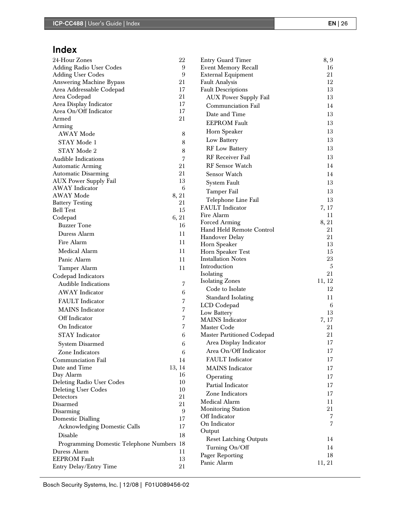## Index

| 24-Hour Zones                             | 22     | <b>Entry Guard Timer</b>          | 8, 9           |
|-------------------------------------------|--------|-----------------------------------|----------------|
| <b>Adding Radio User Codes</b>            | 9      | <b>Event Memory Recall</b>        | 16             |
| <b>Adding User Codes</b>                  | 9      | External Equipment                | 21             |
| <b>Answering Machine Bypass</b>           | 21     | Fault Analysis                    | 12             |
| Area Addressable Codepad                  | 17     | <b>Fault Descriptions</b>         | 13             |
| Area Codepad                              | 21     | <b>AUX Power Supply Fail</b>      | 13             |
| Area Display Indicator                    | 17     | Communciation Fail                | 14             |
| Area On/Off Indicator                     | 17     | Date and Time                     | 13             |
| Armed                                     | 21     | <b>EEPROM Fault</b>               | 13             |
| Arming                                    |        | Horn Speaker                      | 13             |
| <b>AWAY Mode</b>                          | 8      |                                   | 13             |
| STAY Mode 1                               | 8      | Low Battery                       |                |
| STAY Mode 2                               | 8      | <b>RF</b> Low Battery             | 13             |
| Audible Indications                       | 7      | <b>RF</b> Receiver Fail           | 13             |
| <b>Automatic Arming</b>                   | 21     | RF Sensor Watch                   | 14             |
| <b>Automatic Disarming</b>                | 21     | Sensor Watch                      | 14             |
| AUX Power Supply Fail                     | 13     | System Fault                      | 13             |
| <b>AWAY</b> Indicator                     | 6      | Tamper Fail                       | 13             |
| <b>AWAY Mode</b>                          | 8, 21  | Telephone Line Fail               | 13             |
| <b>Battery Testing</b>                    | 21     | <b>FAULT</b> Indicator            | 7, 17          |
| <b>Bell Test</b>                          | 15     | Fire Alarm                        | 11             |
| Codepad                                   | 6, 21  | Forced Arming                     | 8, 21          |
| <b>Buzzer</b> Tone                        | 16     | Hand Held Remote Control          | 21             |
| Duress Alarm                              | 11     | Handover Delay                    | 21             |
| Fire Alarm                                | 11     | Horn Speaker                      | 13             |
| Medical Alarm                             | 11     | Horn Speaker Test                 | 15             |
| Panic Alarm                               | 11     | <b>Installation Notes</b>         | 23             |
| Tamper Alarm                              | 11     | Introduction                      | $\overline{5}$ |
| Codepad Indicators                        |        | Isolating                         | 21             |
| <b>Audible Indications</b>                | 7      | <b>Isolating Zones</b>            | 11, 12         |
| <b>AWAY</b> Indicator                     |        | Code to Isolate                   | 12             |
|                                           | 6      | Standard Isolating                | 11             |
| <b>FAULT</b> Indicator                    | 7      | LCD Codepad                       | 6              |
| <b>MAINS</b> Indicator                    | 7      | Low Battery                       | 13             |
| Off Indicator                             | 7      | <b>MAINS</b> Indicator            | 7, 17          |
| On Indicator                              | 7      | Master Code                       | 21             |
| <b>STAY</b> Indicator                     | 6      | <b>Master Partitioned Codepad</b> | 21             |
| <b>System Disarmed</b>                    | 6      | Area Display Indicator            | 17             |
| Zone Indicators                           | 6      | Area On/Off Indicator             | 17             |
| Communciation Fail                        | 14     | <b>FAULT</b> Indicator            | 17             |
| Date and Time                             | 13, 14 | <b>MAINS</b> Indicator            | 17             |
| Day Alarm                                 | 16     |                                   | 17             |
| Deleting Radio User Codes                 | 10     | Operating                         |                |
| <b>Deleting User Codes</b>                | 10     | Partial Indicator                 | 17             |
| Detectors                                 | 21     | Zone Indicators                   | 17             |
| Disarmed                                  | 21     | Medical Alarm                     | 11             |
| Disarming                                 | 9      | <b>Monitoring Station</b>         | 21             |
| <b>Domestic Dialling</b>                  | 17     | Off Indicator                     | 7              |
| <b>Acknowledging Domestic Calls</b>       | 17     | On Indicator                      | 7              |
| Disable                                   | 18     | Output                            |                |
| Programming Domestic Telephone Numbers 18 |        | <b>Reset Latching Outputs</b>     | 14             |
| Duress Alarm                              | 11     | Turning On/Off                    | 14             |
| <b>EEPROM Fault</b>                       | 13     | Pager Reporting                   | 18             |
| Entry Delay/Entry Time                    | 21     | Panic Alarm                       | 11, 21         |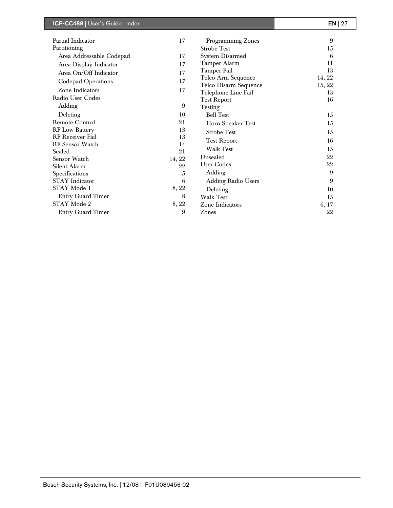| ICP-CC488   User's Guide   Index |        |                           | $EN$   27 |
|----------------------------------|--------|---------------------------|-----------|
| Partial Indicator                | 17     | Programming Zones         | 9         |
| Partitioning                     |        | <b>Strobe Test</b>        | 15        |
| Area Addressable Codepad         | 17     | <b>System Disarmed</b>    | 6         |
| Area Display Indicator           | 17     | <b>Tamper Alarm</b>       | 11        |
| Area On/Off Indicator            | 17     | <b>Tamper Fail</b>        | 13        |
|                                  | 17     | Telco Arm Sequence        | 14, 22    |
| <b>Codepad Operations</b>        |        | Telco Disarm Sequence     | 15, 22    |
| Zone Indicators                  | 17     | Telephone Line Fail       | 13        |
| Radio User Codes                 |        | <b>Test Report</b>        | 16        |
| Adding                           | 9      | Testing                   |           |
| Deleting                         | 10     | <b>Bell Test</b>          | 15        |
| <b>Remote Control</b>            | 21     | Horn Speaker Test         | 15        |
| <b>RF</b> Low Battery            | 13     | <b>Strobe Test</b>        | 15        |
| <b>RF</b> Receiver Fail          | 13     | <b>Test Report</b>        | 16        |
| <b>RF</b> Sensor Watch           | 14     |                           |           |
| Sealed                           | 21     | <b>Walk Test</b>          | 15        |
| Sensor Watch                     | 14, 22 | Unsealed                  | 22        |
| Silent Alarm                     | 22     | <b>User Codes</b>         | 22        |
| Specifications                   | 5      | Adding                    | 9         |
| <b>STAY</b> Indicator            | 6      | <b>Adding Radio Users</b> | 9         |
| STAY Mode 1                      | 8, 22  | Deleting                  | 10        |
| <b>Entry Guard Timer</b>         | 8      | <b>Walk Test</b>          | 15        |
| STAY Mode 2                      | 8, 22  | Zone Indicators           | 6, 17     |
| <b>Entry Guard Timer</b>         | 9      | Zones                     | 22        |